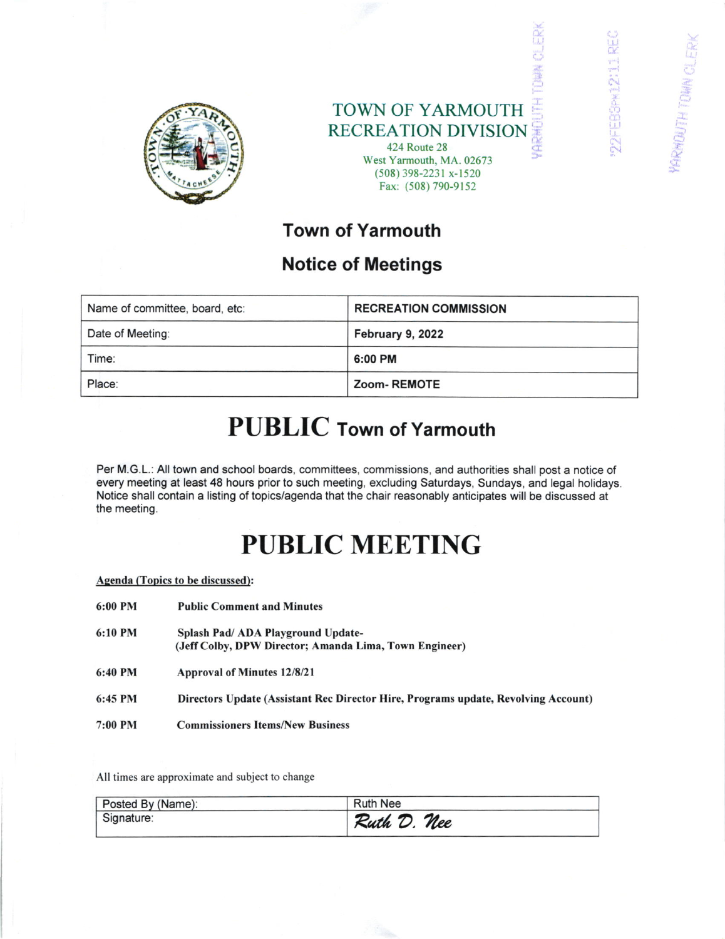

TOWN OF YARMOUTH RECREATION DIVISION 424 Route 28 West Yarmouth. MA. 02673 (508) 398-2231 x-1520 Fax: (508) 790-9152

DOFFERRATION

**ERRHOUTH TOWN** CV

## Town of Yarmouth

### Notice of Meetings

| Name of committee, board, etc: | <b>RECREATION COMMISSION</b> |
|--------------------------------|------------------------------|
| Date of Meeting:               | February 9, 2022             |
| Time:                          | 6:00 PM                      |
| Place:                         | Zoom-REMOTE                  |

## PUBLIC Town of Yarmouth

Per M.G.L.:All town and school boards, committees, commissions, and authorities shall post a notice of every meeting at least 48 hours prior to such meeting, excluding Saturdays, Sundays, and legal holidays. Notice shall contain a listing of topics/agenda that the chair reasonably anticipates will be discussed at the meeting.

# PUBLIC MEETING

### Agenda (Topics to be discussed):

6:00 PM 6: l0 PM Public Comment and Minutes Splash Pad/ ADA Playground Update-(Jeff Colby, DPW Director; Amanda Lima, Town Engineer) 6:40 PM Approval of Minutes 12/8/21 6:45 PM Directors Update (Assistant Rec Director Hire, Programs update, Revolving Account) 7:00 PM Commissioners ltems/New Business

All times are approximate and subject to change

| Posted By (Name): | <b>Ruth Nee</b> |
|-------------------|-----------------|
| Signature:        | Ruth D. Nee     |